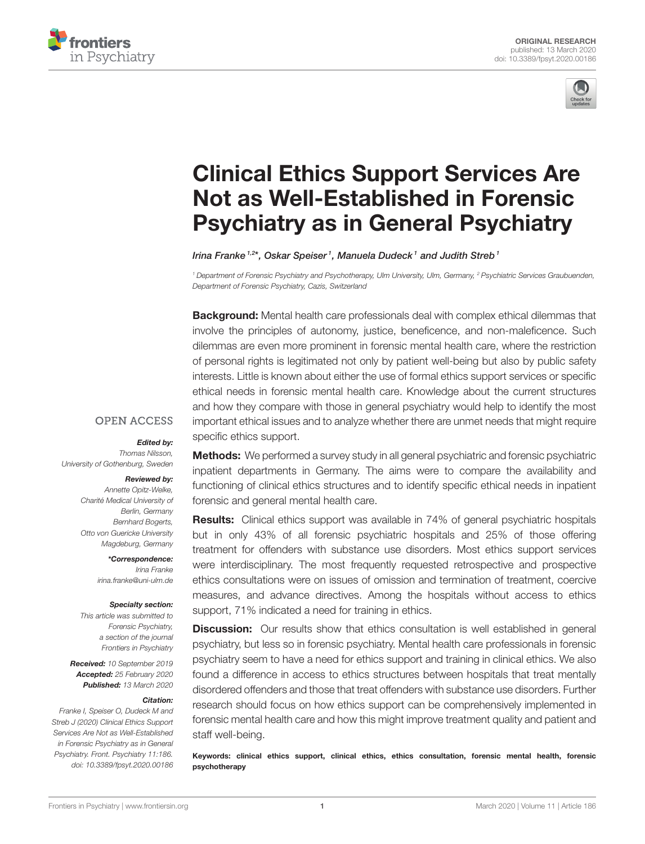



# Clinical Ethics Support Services Are [Not as Well-Established in Forensic](https://www.frontiersin.org/articles/10.3389/fpsyt.2020.00186/full) Psychiatry as in General Psychiatry

[Irina Franke](http://loop.frontiersin.org/people/652303/overview) 1,2\*, [Oskar Speiser](http://loop.frontiersin.org/people/830188/overview) 1, [Manuela Dudeck](http://loop.frontiersin.org/people/587796/overview) 1 and [Judith Streb](http://loop.frontiersin.org/people/715926/overview) 1

<sup>1</sup> Department of Forensic Psychiatry and Psychotherapy, Ulm University, Ulm, Germany, <sup>2</sup> Psychiatric Services Graubuenden, Department of Forensic Psychiatry, Cazis, Switzerland

**Background:** Mental health care professionals deal with complex ethical dilemmas that involve the principles of autonomy, justice, beneficence, and non-maleficence. Such dilemmas are even more prominent in forensic mental health care, where the restriction of personal rights is legitimated not only by patient well-being but also by public safety interests. Little is known about either the use of formal ethics support services or specific ethical needs in forensic mental health care. Knowledge about the current structures and how they compare with those in general psychiatry would help to identify the most important ethical issues and to analyze whether there are unmet needs that might require specific ethics support.

### **OPEN ACCESS**

#### Edited by:

Thomas Nilsson, University of Gothenburg, Sweden

#### Reviewed by:

Annette Opitz-Welke, Charité Medical University of Berlin, Germany Bernhard Bogerts, Otto von Guericke University Magdeburg, Germany

> \*Correspondence: Irina Franke [irina.franke@uni-ulm.de](mailto:irina.franke@uni-ulm.de)

#### Specialty section:

This article was submitted to Forensic Psychiatry, a section of the journal Frontiers in Psychiatry

Received: 10 September 2019 Accepted: 25 February 2020 Published: 13 March 2020

#### Citation:

Franke I, Speiser O, Dudeck M and Streb J (2020) Clinical Ethics Support Services Are Not as Well-Established in Forensic Psychiatry as in General Psychiatry. Front. Psychiatry 11:186. doi: [10.3389/fpsyt.2020.00186](https://doi.org/10.3389/fpsyt.2020.00186)

**Methods:** We performed a survey study in all general psychiatric and forensic psychiatric inpatient departments in Germany. The aims were to compare the availability and functioning of clinical ethics structures and to identify specific ethical needs in inpatient forensic and general mental health care.

**Results:** Clinical ethics support was available in 74% of general psychiatric hospitals but in only 43% of all forensic psychiatric hospitals and 25% of those offering treatment for offenders with substance use disorders. Most ethics support services were interdisciplinary. The most frequently requested retrospective and prospective ethics consultations were on issues of omission and termination of treatment, coercive measures, and advance directives. Among the hospitals without access to ethics support, 71% indicated a need for training in ethics.

**Discussion:** Our results show that ethics consultation is well established in general psychiatry, but less so in forensic psychiatry. Mental health care professionals in forensic psychiatry seem to have a need for ethics support and training in clinical ethics. We also found a difference in access to ethics structures between hospitals that treat mentally disordered offenders and those that treat offenders with substance use disorders. Further research should focus on how ethics support can be comprehensively implemented in forensic mental health care and how this might improve treatment quality and patient and staff well-being.

Keywords: clinical ethics support, clinical ethics, ethics consultation, forensic mental health, forensic psychotherapy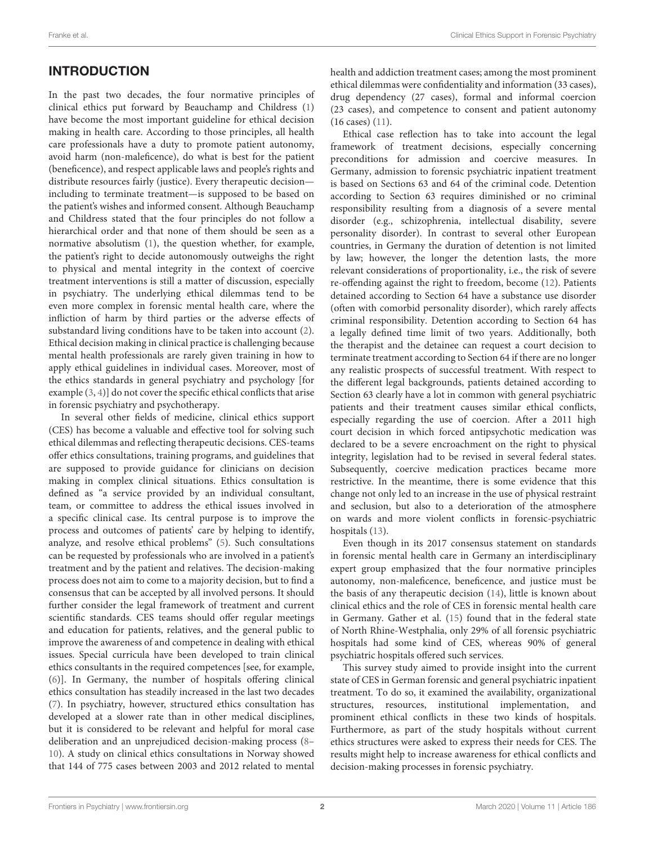# INTRODUCTION

In the past two decades, the four normative principles of clinical ethics put forward by Beauchamp and Childress [\(1\)](#page-7-0) have become the most important guideline for ethical decision making in health care. According to those principles, all health care professionals have a duty to promote patient autonomy, avoid harm (non-maleficence), do what is best for the patient (beneficence), and respect applicable laws and people's rights and distribute resources fairly (justice). Every therapeutic decision including to terminate treatment—is supposed to be based on the patient's wishes and informed consent. Although Beauchamp and Childress stated that the four principles do not follow a hierarchical order and that none of them should be seen as a normative absolutism [\(1\)](#page-7-0), the question whether, for example, the patient's right to decide autonomously outweighs the right to physical and mental integrity in the context of coercive treatment interventions is still a matter of discussion, especially in psychiatry. The underlying ethical dilemmas tend to be even more complex in forensic mental health care, where the infliction of harm by third parties or the adverse effects of substandard living conditions have to be taken into account [\(2\)](#page-7-1). Ethical decision making in clinical practice is challenging because mental health professionals are rarely given training in how to apply ethical guidelines in individual cases. Moreover, most of the ethics standards in general psychiatry and psychology [for example [\(3,](#page-7-2) [4\)](#page-7-3)] do not cover the specific ethical conflicts that arise in forensic psychiatry and psychotherapy.

In several other fields of medicine, clinical ethics support (CES) has become a valuable and effective tool for solving such ethical dilemmas and reflecting therapeutic decisions. CES-teams offer ethics consultations, training programs, and guidelines that are supposed to provide guidance for clinicians on decision making in complex clinical situations. Ethics consultation is defined as "a service provided by an individual consultant, team, or committee to address the ethical issues involved in a specific clinical case. Its central purpose is to improve the process and outcomes of patients' care by helping to identify, analyze, and resolve ethical problems" [\(5\)](#page-7-4). Such consultations can be requested by professionals who are involved in a patient's treatment and by the patient and relatives. The decision-making process does not aim to come to a majority decision, but to find a consensus that can be accepted by all involved persons. It should further consider the legal framework of treatment and current scientific standards. CES teams should offer regular meetings and education for patients, relatives, and the general public to improve the awareness of and competence in dealing with ethical issues. Special curricula have been developed to train clinical ethics consultants in the required competences [see, for example, [\(6\)](#page-7-5)]. In Germany, the number of hospitals offering clinical ethics consultation has steadily increased in the last two decades [\(7\)](#page-7-6). In psychiatry, however, structured ethics consultation has developed at a slower rate than in other medical disciplines, but it is considered to be relevant and helpful for moral case deliberation and an unprejudiced decision-making process [\(8–](#page-7-7) [10\)](#page-7-8). A study on clinical ethics consultations in Norway showed that 144 of 775 cases between 2003 and 2012 related to mental health and addiction treatment cases; among the most prominent ethical dilemmas were confidentiality and information (33 cases), drug dependency (27 cases), formal and informal coercion (23 cases), and competence to consent and patient autonomy (16 cases) [\(11\)](#page-7-9).

Ethical case reflection has to take into account the legal framework of treatment decisions, especially concerning preconditions for admission and coercive measures. In Germany, admission to forensic psychiatric inpatient treatment is based on Sections 63 and 64 of the criminal code. Detention according to Section 63 requires diminished or no criminal responsibility resulting from a diagnosis of a severe mental disorder (e.g., schizophrenia, intellectual disability, severe personality disorder). In contrast to several other European countries, in Germany the duration of detention is not limited by law; however, the longer the detention lasts, the more relevant considerations of proportionality, i.e., the risk of severe re-offending against the right to freedom, become [\(12\)](#page-7-10). Patients detained according to Section 64 have a substance use disorder (often with comorbid personality disorder), which rarely affects criminal responsibility. Detention according to Section 64 has a legally defined time limit of two years. Additionally, both the therapist and the detainee can request a court decision to terminate treatment according to Section 64 if there are no longer any realistic prospects of successful treatment. With respect to the different legal backgrounds, patients detained according to Section 63 clearly have a lot in common with general psychiatric patients and their treatment causes similar ethical conflicts, especially regarding the use of coercion. After a 2011 high court decision in which forced antipsychotic medication was declared to be a severe encroachment on the right to physical integrity, legislation had to be revised in several federal states. Subsequently, coercive medication practices became more restrictive. In the meantime, there is some evidence that this change not only led to an increase in the use of physical restraint and seclusion, but also to a deterioration of the atmosphere on wards and more violent conflicts in forensic-psychiatric hospitals [\(13\)](#page-7-11).

Even though in its 2017 consensus statement on standards in forensic mental health care in Germany an interdisciplinary expert group emphasized that the four normative principles autonomy, non-maleficence, beneficence, and justice must be the basis of any therapeutic decision [\(14\)](#page-7-12), little is known about clinical ethics and the role of CES in forensic mental health care in Germany. Gather et al. [\(15\)](#page-7-13) found that in the federal state of North Rhine-Westphalia, only 29% of all forensic psychiatric hospitals had some kind of CES, whereas 90% of general psychiatric hospitals offered such services.

This survey study aimed to provide insight into the current state of CES in German forensic and general psychiatric inpatient treatment. To do so, it examined the availability, organizational structures, resources, institutional implementation, and prominent ethical conflicts in these two kinds of hospitals. Furthermore, as part of the study hospitals without current ethics structures were asked to express their needs for CES. The results might help to increase awareness for ethical conflicts and decision-making processes in forensic psychiatry.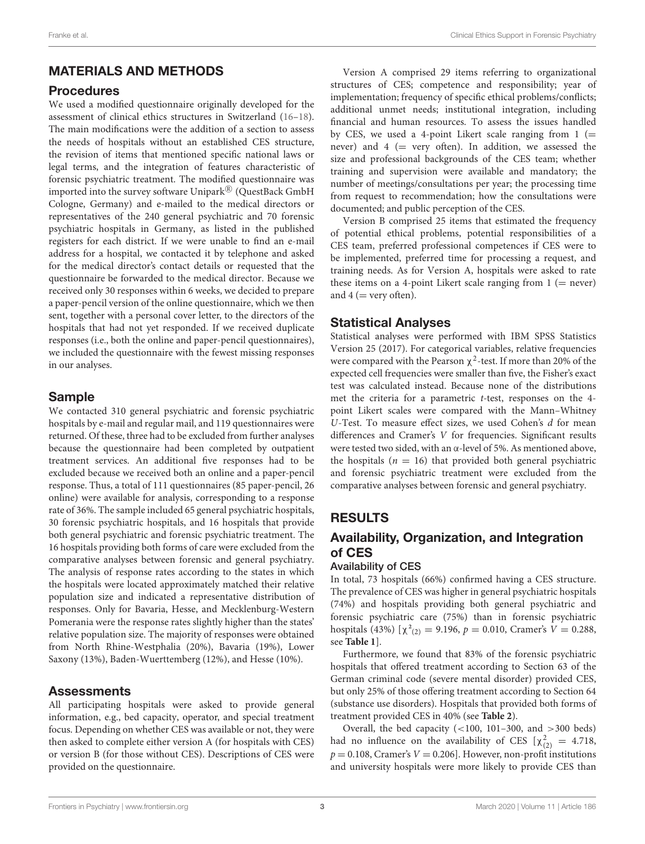# MATERIALS AND METHODS

# Procedures

We used a modified questionnaire originally developed for the assessment of clinical ethics structures in Switzerland [\(16–](#page-7-14)[18\)](#page-7-15). The main modifications were the addition of a section to assess the needs of hospitals without an established CES structure, the revision of items that mentioned specific national laws or legal terms, and the integration of features characteristic of forensic psychiatric treatment. The modified questionnaire was imported into the survey software Unipark $^\text{\textregistered}$  (QuestBack GmbH Cologne, Germany) and e-mailed to the medical directors or representatives of the 240 general psychiatric and 70 forensic psychiatric hospitals in Germany, as listed in the published registers for each district. If we were unable to find an e-mail address for a hospital, we contacted it by telephone and asked for the medical director's contact details or requested that the questionnaire be forwarded to the medical director. Because we received only 30 responses within 6 weeks, we decided to prepare a paper-pencil version of the online questionnaire, which we then sent, together with a personal cover letter, to the directors of the hospitals that had not yet responded. If we received duplicate responses (i.e., both the online and paper-pencil questionnaires), we included the questionnaire with the fewest missing responses in our analyses.

# Sample

We contacted 310 general psychiatric and forensic psychiatric hospitals by e-mail and regular mail, and 119 questionnaires were returned. Of these, three had to be excluded from further analyses because the questionnaire had been completed by outpatient treatment services. An additional five responses had to be excluded because we received both an online and a paper-pencil response. Thus, a total of 111 questionnaires (85 paper-pencil, 26 online) were available for analysis, corresponding to a response rate of 36%. The sample included 65 general psychiatric hospitals, 30 forensic psychiatric hospitals, and 16 hospitals that provide both general psychiatric and forensic psychiatric treatment. The 16 hospitals providing both forms of care were excluded from the comparative analyses between forensic and general psychiatry. The analysis of response rates according to the states in which the hospitals were located approximately matched their relative population size and indicated a representative distribution of responses. Only for Bavaria, Hesse, and Mecklenburg-Western Pomerania were the response rates slightly higher than the states' relative population size. The majority of responses were obtained from North Rhine-Westphalia (20%), Bavaria (19%), Lower Saxony (13%), Baden-Wuerttemberg (12%), and Hesse (10%).

# Assessments

All participating hospitals were asked to provide general information, e.g., bed capacity, operator, and special treatment focus. Depending on whether CES was available or not, they were then asked to complete either version A (for hospitals with CES) or version B (for those without CES). Descriptions of CES were provided on the questionnaire.

Version A comprised 29 items referring to organizational structures of CES; competence and responsibility; year of implementation; frequency of specific ethical problems/conflicts; additional unmet needs; institutional integration, including financial and human resources. To assess the issues handled by CES, we used a 4-point Likert scale ranging from  $1 (=$ never) and  $4$  (= very often). In addition, we assessed the size and professional backgrounds of the CES team; whether training and supervision were available and mandatory; the number of meetings/consultations per year; the processing time from request to recommendation; how the consultations were documented; and public perception of the CES.

Version B comprised 25 items that estimated the frequency of potential ethical problems, potential responsibilities of a CES team, preferred professional competences if CES were to be implemented, preferred time for processing a request, and training needs. As for Version A, hospitals were asked to rate these items on a 4-point Likert scale ranging from  $1$  (= never) and  $4$  (= very often).

# Statistical Analyses

Statistical analyses were performed with IBM SPSS Statistics Version 25 (2017). For categorical variables, relative frequencies were compared with the Pearson  $\chi^2$ -test. If more than 20% of the expected cell frequencies were smaller than five, the Fisher's exact test was calculated instead. Because none of the distributions met the criteria for a parametric t-test, responses on the 4 point Likert scales were compared with the Mann–Whitney U-Test. To measure effect sizes, we used Cohen's d for mean differences and Cramer's V for frequencies. Significant results were tested two sided, with an α-level of 5%. As mentioned above, the hospitals ( $n = 16$ ) that provided both general psychiatric and forensic psychiatric treatment were excluded from the comparative analyses between forensic and general psychiatry.

# RESULTS

# Availability, Organization, and Integration of CES

### Availability of CES

In total, 73 hospitals (66%) confirmed having a CES structure. The prevalence of CES was higher in general psychiatric hospitals (74%) and hospitals providing both general psychiatric and forensic psychiatric care (75%) than in forensic psychiatric hospitals (43%)  $[\chi^2_{(2)} = 9.196, p = 0.010,$  Cramer's  $V = 0.288$ , see **[Table 1](#page-3-0)**].

Furthermore, we found that 83% of the forensic psychiatric hospitals that offered treatment according to Section 63 of the German criminal code (severe mental disorder) provided CES, but only 25% of those offering treatment according to Section 64 (substance use disorders). Hospitals that provided both forms of treatment provided CES in 40% (see **[Table 2](#page-3-1)**).

Overall, the bed capacity (<100, 101–300, and >300 beds) had no influence on the availability of CES  $[\chi^2_{(2)} = 4.718]$  $p = 0.108$ , Cramer's  $V = 0.206$ . However, non-profit institutions and university hospitals were more likely to provide CES than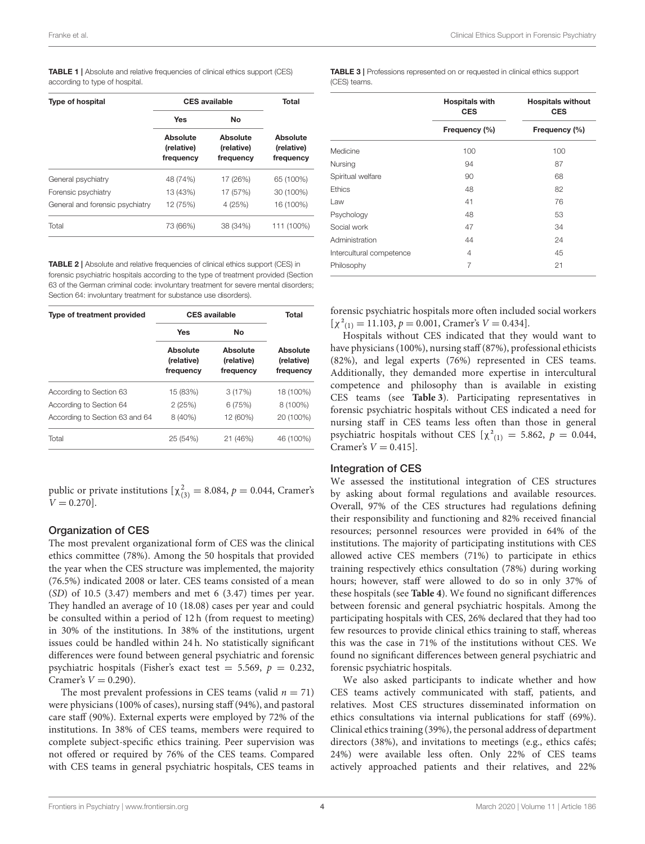<span id="page-3-0"></span>TABLE 1 | Absolute and relative frequencies of clinical ethics support (CES) according to type of hospital.

| <b>Type of hospital</b>         | <b>CES</b> available                | Total                               |                                     |
|---------------------------------|-------------------------------------|-------------------------------------|-------------------------------------|
|                                 | Yes                                 | No                                  |                                     |
|                                 | Absolute<br>(relative)<br>frequency | Absolute<br>(relative)<br>frequency | Absolute<br>(relative)<br>frequency |
| General psychiatry              | 48 (74%)                            | 17 (26%)                            | 65 (100%)                           |
| Forensic psychiatry             | 13 (43%)                            | 17 (57%)                            | 30 (100%)                           |
| General and forensic psychiatry | 12 (75%)                            | 4 (25%)                             | 16 (100%)                           |
| Total                           | 73 (66%)                            | 38 (34%)                            | 111 (100%)                          |

<span id="page-3-1"></span>TABLE 2 | Absolute and relative frequencies of clinical ethics support (CES) in forensic psychiatric hospitals according to the type of treatment provided (Section 63 of the German criminal code: involuntary treatment for severe mental disorders; Section 64: involuntary treatment for substance use disorders).

| Type of treatment provided     | <b>CES</b> available                | <b>Total</b>                        |                                     |  |
|--------------------------------|-------------------------------------|-------------------------------------|-------------------------------------|--|
|                                | Yes                                 | No                                  |                                     |  |
|                                | Absolute<br>(relative)<br>frequency | Absolute<br>(relative)<br>frequency | Absolute<br>(relative)<br>frequency |  |
| According to Section 63        | 15 (83%)                            | 3(17%)                              | 18 (100%)                           |  |
| According to Section 64        | 2(25%)                              | 6(75%)                              | 8 (100%)                            |  |
| According to Section 63 and 64 | 8 (40%)                             | 12 (60%)                            | 20 (100%)                           |  |
| Total                          | 25 (54%)                            | 21 (46%)                            | 46 (100%)                           |  |

public or private institutions  $[\chi^2_{(3)}] = 8.084$ ,  $p = 0.044$ , Cramer's  $V = 0.270$ .

### Organization of CES

The most prevalent organizational form of CES was the clinical ethics committee (78%). Among the 50 hospitals that provided the year when the CES structure was implemented, the majority (76.5%) indicated 2008 or later. CES teams consisted of a mean (SD) of 10.5 (3.47) members and met 6 (3.47) times per year. They handled an average of 10 (18.08) cases per year and could be consulted within a period of 12 h (from request to meeting) in 30% of the institutions. In 38% of the institutions, urgent issues could be handled within 24 h. No statistically significant differences were found between general psychiatric and forensic psychiatric hospitals (Fisher's exact test = 5.569,  $p = 0.232$ , Cramer's  $V = 0.290$ ).

The most prevalent professions in CES teams (valid  $n = 71$ ) were physicians (100% of cases), nursing staff (94%), and pastoral care staff (90%). External experts were employed by 72% of the institutions. In 38% of CES teams, members were required to complete subject-specific ethics training. Peer supervision was not offered or required by 76% of the CES teams. Compared with CES teams in general psychiatric hospitals, CES teams in

<span id="page-3-2"></span>TABLE 3 | Professions represented on or requested in clinical ethics support (CES) teams.

|                          | <b>Hospitals with</b><br><b>CES</b> | <b>Hospitals without</b><br><b>CES</b> |  |
|--------------------------|-------------------------------------|----------------------------------------|--|
|                          | Frequency (%)                       | Frequency (%)                          |  |
| Medicine                 | 100                                 | 100                                    |  |
| Nursing                  | 94                                  | 87                                     |  |
| Spiritual welfare        | 90                                  | 68                                     |  |
| <b>Ethics</b>            | 48                                  | 82                                     |  |
| Law                      | 41                                  | 76                                     |  |
| Psychology               | 48                                  | 53                                     |  |
| Social work              | 47                                  | 34                                     |  |
| Administration           | 44                                  | 24                                     |  |
| Intercultural competence | 4                                   | 45                                     |  |
| Philosophy               | 7                                   | 21                                     |  |

forensic psychiatric hospitals more often included social workers  $[\chi^2_{(1)} = 11.103, p = 0.001,$  Cramer's  $V = 0.434$ .

Hospitals without CES indicated that they would want to have physicians (100%), nursing staff (87%), professional ethicists (82%), and legal experts (76%) represented in CES teams. Additionally, they demanded more expertise in intercultural competence and philosophy than is available in existing CES teams (see **[Table 3](#page-3-2)**). Participating representatives in forensic psychiatric hospitals without CES indicated a need for nursing staff in CES teams less often than those in general psychiatric hospitals without CES  $[\chi^2_{(1)} = 5.862, p = 0.044,$ Cramer's  $V = 0.415$ .

### Integration of CES

We assessed the institutional integration of CES structures by asking about formal regulations and available resources. Overall, 97% of the CES structures had regulations defining their responsibility and functioning and 82% received financial resources; personnel resources were provided in 64% of the institutions. The majority of participating institutions with CES allowed active CES members (71%) to participate in ethics training respectively ethics consultation (78%) during working hours; however, staff were allowed to do so in only 37% of these hospitals (see **[Table 4](#page-4-0)**). We found no significant differences between forensic and general psychiatric hospitals. Among the participating hospitals with CES, 26% declared that they had too few resources to provide clinical ethics training to staff, whereas this was the case in 71% of the institutions without CES. We found no significant differences between general psychiatric and forensic psychiatric hospitals.

We also asked participants to indicate whether and how CES teams actively communicated with staff, patients, and relatives. Most CES structures disseminated information on ethics consultations via internal publications for staff (69%). Clinical ethics training (39%), the personal address of department directors (38%), and invitations to meetings (e.g., ethics cafés; 24%) were available less often. Only 22% of CES teams actively approached patients and their relatives, and 22%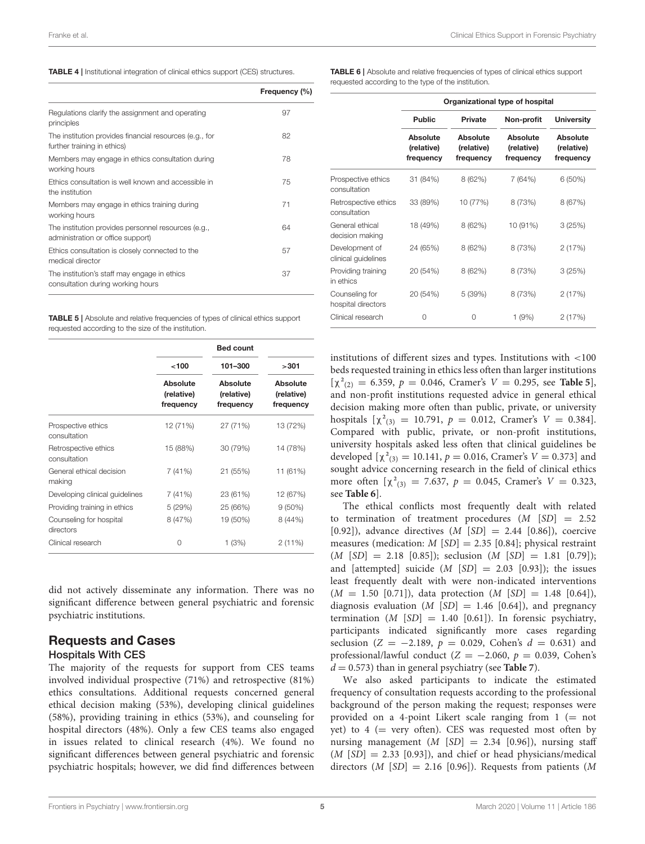<span id="page-4-0"></span>

|  |  |  |  | TABLE 4   Institutional integration of clinical ethics support (CES) structures. |  |
|--|--|--|--|----------------------------------------------------------------------------------|--|
|--|--|--|--|----------------------------------------------------------------------------------|--|

|                                                                                          | Frequency (%) |
|------------------------------------------------------------------------------------------|---------------|
| Regulations clarify the assignment and operating<br>principles                           | 97            |
| The institution provides financial resources (e.g., for<br>further training in ethics)   | 82            |
| Members may engage in ethics consultation during<br>working hours                        | 78            |
| Ethics consultation is well known and accessible in<br>the institution                   | 75            |
| Members may engage in ethics training during<br>working hours                            | 71            |
| The institution provides personnel resources (e.g.,<br>administration or office support) | 64            |
| Ethics consultation is closely connected to the<br>medical director                      | 57            |
| The institution's staff may engage in ethics<br>consultation during working hours        | 37            |

<span id="page-4-1"></span>**TABLE 5 | Absolute and relative frequencies of types of clinical ethics support** requested according to the size of the institution.

|                                      |                                     | <b>Bed count</b>                    |                                     |
|--------------------------------------|-------------------------------------|-------------------------------------|-------------------------------------|
|                                      | ~100                                | 101-300                             | >301                                |
|                                      | Absolute<br>(relative)<br>frequency | Absolute<br>(relative)<br>frequency | Absolute<br>(relative)<br>frequency |
| Prospective ethics<br>consultation   | 12 (71%)                            | 27 (71%)                            | 13 (72%)                            |
| Retrospective ethics<br>consultation | 15 (88%)                            | 30 (79%)                            | 14 (78%)                            |
| General ethical decision<br>making   | 7 (41%)                             | 21 (55%)                            | 11 (61%)                            |
| Developing clinical guidelines       | 7 (41%)                             | 23 (61%)                            | 12 (67%)                            |
| Providing training in ethics         | 5(29%)                              | 25 (66%)                            | $9(50\%)$                           |
| Counseling for hospital<br>directors | 8 (47%)                             | 19 (50%)                            | 8 (44%)                             |
| Clinical research                    | 0                                   | 1 (3%)                              | 2(11%)                              |

did not actively disseminate any information. There was no significant difference between general psychiatric and forensic psychiatric institutions.

### Requests and Cases Hospitals With CES

The majority of the requests for support from CES teams involved individual prospective (71%) and retrospective (81%) ethics consultations. Additional requests concerned general ethical decision making (53%), developing clinical guidelines (58%), providing training in ethics (53%), and counseling for hospital directors (48%). Only a few CES teams also engaged in issues related to clinical research (4%). We found no significant differences between general psychiatric and forensic psychiatric hospitals; however, we did find differences between

<span id="page-4-2"></span>TABLE 6 | Absolute and relative frequencies of types of clinical ethics support requested according to the type of the institution.

|                                       | Organizational type of hospital     |                                     |                                     |                                     |
|---------------------------------------|-------------------------------------|-------------------------------------|-------------------------------------|-------------------------------------|
|                                       | <b>Public</b>                       | <b>Private</b>                      | Non-profit                          | <b>University</b>                   |
|                                       | Absolute<br>(relative)<br>frequency | Absolute<br>(relative)<br>frequency | Absolute<br>(relative)<br>frequency | Absolute<br>(relative)<br>frequency |
| Prospective ethics<br>consultation    | 31 (84%)                            | 8 (62%)                             | 7 (64%)                             | 6 (50%)                             |
| Retrospective ethics<br>consultation  | 33 (89%)                            | 10 (77%)                            | 8 (73%)                             | 8 (67%)                             |
| General ethical<br>decision making    | 18 (49%)                            | 8 (62%)                             | 10 (91%)                            | 3(25%)                              |
| Development of<br>clinical guidelines | 24 (65%)                            | 8 (62%)                             | 8 (73%)                             | 2(17%)                              |
| Providing training<br>in ethics       | 20 (54%)                            | 8 (62%)                             | 8 (73%)                             | 3(25%)                              |
| Counseling for<br>hospital directors  | 20 (54%)                            | 5 (39%)                             | 8 (73%)                             | 2(17%)                              |
| Clinical research                     | 0                                   | Ω                                   | 1 (9%)                              | 2(17%)                              |

institutions of different sizes and types. Institutions with <100 beds requested training in ethics less often than larger institutions  $[\chi^2_{(2)} = 6.359, p = 0.046,$  Cramer's  $V = 0.295$ , see **[Table 5](#page-4-1)**], and non-profit institutions requested advice in general ethical decision making more often than public, private, or university hospitals  $[\chi^2_{(3)} = 10.791, p = 0.012,$  Cramer's  $V = 0.384$ . Compared with public, private, or non-profit institutions, university hospitals asked less often that clinical guidelines be developed  $[\chi^2_{(3)} = 10.141, p = 0.016,$  Cramer's  $V = 0.373$ ] and sought advice concerning research in the field of clinical ethics more often  $[\chi^2_{(3)} = 7.637, p = 0.045,$  Cramer's  $V = 0.323$ , see **[Table 6](#page-4-2)**].

The ethical conflicts most frequently dealt with related to termination of treatment procedures  $(M | SD) = 2.52$ [0.92]), advance directives  $(M$  [SD] = 2.44 [0.86]), coercive measures (medication:  $M$  [SD] = 2.35 [0.84]; physical restraint  $(M [SD] = 2.18 [0.85])$ ; seclusion  $(M [SD] = 1.81 [0.79])$ ; and [attempted] suicide  $(M \text{ } [SD] = 2.03 \text{ } [0.93])$ ; the issues least frequently dealt with were non-indicated interventions  $(M = 1.50$  [0.71]), data protection  $(M \text{ [SD]} = 1.48 \text{ [0.64]}),$ diagnosis evaluation  $(M \text{ [SD]} = 1.46 \text{ [0.64]}),$  and pregnancy termination  $(M \text{ } [SD] = 1.40 \text{ } [0.61]$ ). In forensic psychiatry, participants indicated significantly more cases regarding seclusion ( $Z = -2.189$ ,  $p = 0.029$ , Cohen's  $d = 0.631$ ) and professional/lawful conduct ( $Z = -2.060$ ,  $p = 0.039$ , Cohen's  $d = 0.573$ ) than in general psychiatry (see **[Table 7](#page-5-0)**).

We also asked participants to indicate the estimated frequency of consultation requests according to the professional background of the person making the request; responses were provided on a 4-point Likert scale ranging from  $1$  (= not yet) to  $4$  (= very often). CES was requested most often by nursing management  $(M | SD| = 2.34 | 0.96]$ , nursing staff  $(M \text{ } [SD] = 2.33 \text{ } [0.93])$ , and chief or head physicians/medical directors (*M* [*SD*] = 2.16 [0.96]). Requests from patients (*M*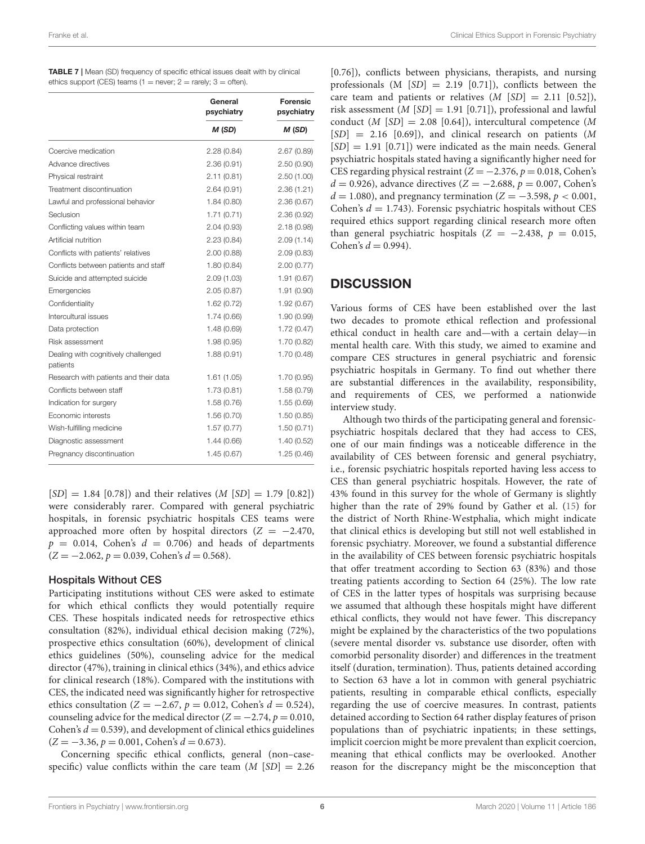<span id="page-5-0"></span>

| <b>TABLE 7</b>   Mean (SD) frequency of specific ethical issues dealt with by clinical |
|----------------------------------------------------------------------------------------|
| ethics support (CES) teams (1 = never; 2 = rarely; 3 = often).                         |

|                                                 | General<br>psychiatry | Forensic<br>psychiatry |
|-------------------------------------------------|-----------------------|------------------------|
|                                                 | M (SD)                | M (SD)                 |
| Coercive medication                             | 2.28(0.84)            | 2.67(0.89)             |
| Advance directives                              | 2.36(0.91)            | 2.50(0.90)             |
| Physical restraint                              | 2.11(0.81)            | 2.50(1.00)             |
| Treatment discontinuation                       | 2.64(0.91)            | 2.36(1.21)             |
| Lawful and professional behavior                | 1.84(0.80)            | 2.36(0.67)             |
| Seclusion                                       | 1.71(0.71)            | 2.36(0.92)             |
| Conflicting values within team                  | 2.04(0.93)            | 2.18(0.98)             |
| Artificial nutrition                            | 2.23(0.84)            | 2.09(1.14)             |
| Conflicts with patients' relatives              | 2.00(0.88)            | 2.09(0.83)             |
| Conflicts between patients and staff            | 1.80(0.84)            | 2.00(0.77)             |
| Suicide and attempted suicide                   | 2.09(1.03)            | 1.91(0.67)             |
| Emergencies                                     | 2.05(0.87)            | 1.91(0.90)             |
| Confidentiality                                 | 1.62(0.72)            | 1.92(0.67)             |
| Intercultural issues                            | 1.74(0.66)            | 1.90(0.99)             |
| Data protection                                 | 1.48(0.69)            | 1.72(0.47)             |
| Risk assessment                                 | 1.98(0.95)            | 1.70 (0.82)            |
| Dealing with cognitively challenged<br>patients | 1.88(0.91)            | 1.70 (0.48)            |
| Research with patients and their data           | 1.61(1.05)            | 1.70 (0.95)            |
| Conflicts between staff                         | 1.73(0.81)            | 1.58(0.79)             |
| Indication for surgery                          | 1.58(0.76)            | 1.55(0.69)             |
| Economic interests                              | 1.56(0.70)            | 1.50(0.85)             |
| Wish-fulfilling medicine                        | 1.57(0.77)            | 1.50(0.71)             |
| Diagnostic assessment                           | 1.44(0.66)            | 1.40(0.52)             |
| Pregnancy discontinuation                       | 1.45(0.67)            | 1.25(0.46)             |

 $[SD] = 1.84$  [0.78]) and their relatives  $(M [SD] = 1.79$  [0.82]) were considerably rarer. Compared with general psychiatric hospitals, in forensic psychiatric hospitals CES teams were approached more often by hospital directors ( $Z = -2.470$ ,  $p = 0.014$ , Cohen's  $d = 0.706$  and heads of departments  $(Z = -2.062, p = 0.039, \text{Cohen's } d = 0.568).$ 

### Hospitals Without CES

Participating institutions without CES were asked to estimate for which ethical conflicts they would potentially require CES. These hospitals indicated needs for retrospective ethics consultation (82%), individual ethical decision making (72%), prospective ethics consultation (60%), development of clinical ethics guidelines (50%), counseling advice for the medical director (47%), training in clinical ethics (34%), and ethics advice for clinical research (18%). Compared with the institutions with CES, the indicated need was significantly higher for retrospective ethics consultation ( $Z = -2.67$ ,  $p = 0.012$ , Cohen's  $d = 0.524$ ), counseling advice for the medical director ( $Z = -2.74$ ,  $p = 0.010$ , Cohen's  $d = 0.539$ ), and development of clinical ethics guidelines  $(Z = -3.36, p = 0.001, \text{Cohen's } d = 0.673).$ 

Concerning specific ethical conflicts, general (non–casespecific) value conflicts within the care team  $(M [SD] = 2.26$ 

[0.76]), conflicts between physicians, therapists, and nursing professionals  $(M | SD| = 2.19 | 0.71|)$ , conflicts between the care team and patients or relatives  $(M | SD| = 2.11 | 0.52)$ , risk assessment ( $M$  [SD] = 1.91 [0.71]), professional and lawful conduct (*M* [*SD*] = 2.08 [0.64]), intercultural competence (*M*  $[SD] = 2.16$  [0.69]), and clinical research on patients (M)  $[SD] = 1.91$   $[0.71]$ ) were indicated as the main needs. General psychiatric hospitals stated having a significantly higher need for CES regarding physical restraint  $(Z = -2.376, p = 0.018, \text{Cohen's})$  $d = 0.926$ ), advance directives (Z = −2.688, p = 0.007, Cohen's  $d = 1.080$ , and pregnancy termination ( $Z = -3.598$ ,  $p < 0.001$ , Cohen's  $d = 1.743$ ). Forensic psychiatric hospitals without CES required ethics support regarding clinical research more often than general psychiatric hospitals ( $Z = -2.438$ ,  $p = 0.015$ , Cohen's  $d = 0.994$ ).

# **DISCUSSION**

Various forms of CES have been established over the last two decades to promote ethical reflection and professional ethical conduct in health care and—with a certain delay—in mental health care. With this study, we aimed to examine and compare CES structures in general psychiatric and forensic psychiatric hospitals in Germany. To find out whether there are substantial differences in the availability, responsibility, and requirements of CES, we performed a nationwide interview study.

Although two thirds of the participating general and forensicpsychiatric hospitals declared that they had access to CES, one of our main findings was a noticeable difference in the availability of CES between forensic and general psychiatry, i.e., forensic psychiatric hospitals reported having less access to CES than general psychiatric hospitals. However, the rate of 43% found in this survey for the whole of Germany is slightly higher than the rate of 29% found by Gather et al. [\(15\)](#page-7-13) for the district of North Rhine-Westphalia, which might indicate that clinical ethics is developing but still not well established in forensic psychiatry. Moreover, we found a substantial difference in the availability of CES between forensic psychiatric hospitals that offer treatment according to Section 63 (83%) and those treating patients according to Section 64 (25%). The low rate of CES in the latter types of hospitals was surprising because we assumed that although these hospitals might have different ethical conflicts, they would not have fewer. This discrepancy might be explained by the characteristics of the two populations (severe mental disorder vs. substance use disorder, often with comorbid personality disorder) and differences in the treatment itself (duration, termination). Thus, patients detained according to Section 63 have a lot in common with general psychiatric patients, resulting in comparable ethical conflicts, especially regarding the use of coercive measures. In contrast, patients detained according to Section 64 rather display features of prison populations than of psychiatric inpatients; in these settings, implicit coercion might be more prevalent than explicit coercion, meaning that ethical conflicts may be overlooked. Another reason for the discrepancy might be the misconception that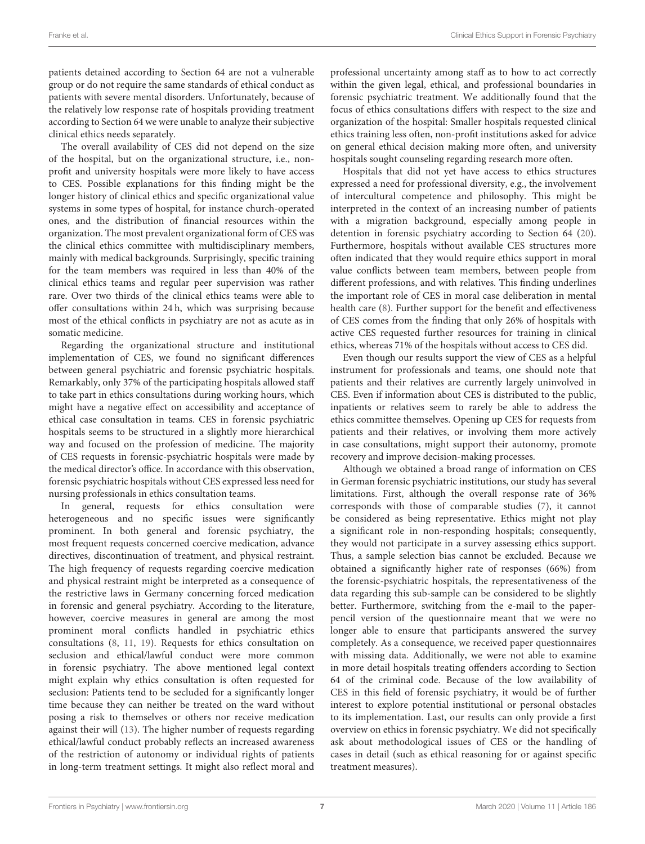patients detained according to Section 64 are not a vulnerable group or do not require the same standards of ethical conduct as patients with severe mental disorders. Unfortunately, because of the relatively low response rate of hospitals providing treatment according to Section 64 we were unable to analyze their subjective clinical ethics needs separately.

The overall availability of CES did not depend on the size of the hospital, but on the organizational structure, i.e., nonprofit and university hospitals were more likely to have access to CES. Possible explanations for this finding might be the longer history of clinical ethics and specific organizational value systems in some types of hospital, for instance church-operated ones, and the distribution of financial resources within the organization. The most prevalent organizational form of CES was the clinical ethics committee with multidisciplinary members, mainly with medical backgrounds. Surprisingly, specific training for the team members was required in less than 40% of the clinical ethics teams and regular peer supervision was rather rare. Over two thirds of the clinical ethics teams were able to offer consultations within 24 h, which was surprising because most of the ethical conflicts in psychiatry are not as acute as in somatic medicine.

Regarding the organizational structure and institutional implementation of CES, we found no significant differences between general psychiatric and forensic psychiatric hospitals. Remarkably, only 37% of the participating hospitals allowed staff to take part in ethics consultations during working hours, which might have a negative effect on accessibility and acceptance of ethical case consultation in teams. CES in forensic psychiatric hospitals seems to be structured in a slightly more hierarchical way and focused on the profession of medicine. The majority of CES requests in forensic-psychiatric hospitals were made by the medical director's office. In accordance with this observation, forensic psychiatric hospitals without CES expressed less need for nursing professionals in ethics consultation teams.

In general, requests for ethics consultation were heterogeneous and no specific issues were significantly prominent. In both general and forensic psychiatry, the most frequent requests concerned coercive medication, advance directives, discontinuation of treatment, and physical restraint. The high frequency of requests regarding coercive medication and physical restraint might be interpreted as a consequence of the restrictive laws in Germany concerning forced medication in forensic and general psychiatry. According to the literature, however, coercive measures in general are among the most prominent moral conflicts handled in psychiatric ethics consultations [\(8,](#page-7-7) [11,](#page-7-9) [19\)](#page-7-16). Requests for ethics consultation on seclusion and ethical/lawful conduct were more common in forensic psychiatry. The above mentioned legal context might explain why ethics consultation is often requested for seclusion: Patients tend to be secluded for a significantly longer time because they can neither be treated on the ward without posing a risk to themselves or others nor receive medication against their will [\(13\)](#page-7-11). The higher number of requests regarding ethical/lawful conduct probably reflects an increased awareness of the restriction of autonomy or individual rights of patients in long-term treatment settings. It might also reflect moral and professional uncertainty among staff as to how to act correctly within the given legal, ethical, and professional boundaries in forensic psychiatric treatment. We additionally found that the focus of ethics consultations differs with respect to the size and organization of the hospital: Smaller hospitals requested clinical ethics training less often, non-profit institutions asked for advice on general ethical decision making more often, and university hospitals sought counseling regarding research more often.

Hospitals that did not yet have access to ethics structures expressed a need for professional diversity, e.g., the involvement of intercultural competence and philosophy. This might be interpreted in the context of an increasing number of patients with a migration background, especially among people in detention in forensic psychiatry according to Section 64 [\(20\)](#page-7-17). Furthermore, hospitals without available CES structures more often indicated that they would require ethics support in moral value conflicts between team members, between people from different professions, and with relatives. This finding underlines the important role of CES in moral case deliberation in mental health care [\(8\)](#page-7-7). Further support for the benefit and effectiveness of CES comes from the finding that only 26% of hospitals with active CES requested further resources for training in clinical ethics, whereas 71% of the hospitals without access to CES did.

Even though our results support the view of CES as a helpful instrument for professionals and teams, one should note that patients and their relatives are currently largely uninvolved in CES. Even if information about CES is distributed to the public, inpatients or relatives seem to rarely be able to address the ethics committee themselves. Opening up CES for requests from patients and their relatives, or involving them more actively in case consultations, might support their autonomy, promote recovery and improve decision-making processes.

Although we obtained a broad range of information on CES in German forensic psychiatric institutions, our study has several limitations. First, although the overall response rate of 36% corresponds with those of comparable studies [\(7\)](#page-7-6), it cannot be considered as being representative. Ethics might not play a significant role in non-responding hospitals; consequently, they would not participate in a survey assessing ethics support. Thus, a sample selection bias cannot be excluded. Because we obtained a significantly higher rate of responses (66%) from the forensic-psychiatric hospitals, the representativeness of the data regarding this sub-sample can be considered to be slightly better. Furthermore, switching from the e-mail to the paperpencil version of the questionnaire meant that we were no longer able to ensure that participants answered the survey completely. As a consequence, we received paper questionnaires with missing data. Additionally, we were not able to examine in more detail hospitals treating offenders according to Section 64 of the criminal code. Because of the low availability of CES in this field of forensic psychiatry, it would be of further interest to explore potential institutional or personal obstacles to its implementation. Last, our results can only provide a first overview on ethics in forensic psychiatry. We did not specifically ask about methodological issues of CES or the handling of cases in detail (such as ethical reasoning for or against specific treatment measures).